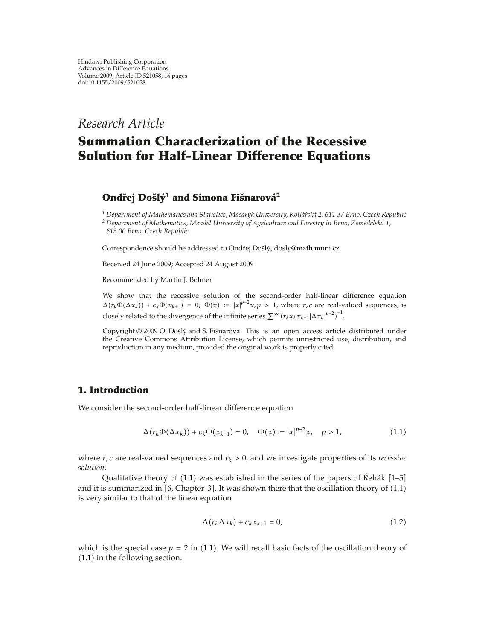## *Research Article*

# **Summation Characterization of the Recessive Solution for Half-Linear Difference Equations**

## *Ondřej Došlý<sup>1</sup> and Simona Fišnarová<sup>2</sup>*

*<sup>1</sup> Department of Mathematics and Statistics, Masaryk University, Kotla´rsk ˇ a 2, 611 37 Brno, Czech Republic ´ <sup>2</sup> Department of Mathematics, Mendel University of Agriculture and Forestry in Brno, Zemedˇ elsk ˇ a 1, ´ 613 00 Brno, Czech Republic*

Correspondence should be addressed to Ondřej Došlý, dosly@math.muni.cz

Received 24 June 2009; Accepted 24 August 2009

Recommended by Martin J. Bohner

We show that the recessive solution of the second-order half-linear difference equation  $\Delta(r_k\Phi(\Delta x_k)) + c_k\Phi(x_{k+1}) = 0$ ,  $\Phi(x) := |x|^{p-2}x$ ,  $p > 1$ , where *r*, *c* are real-valued sequences, is closely related to the divergence of the infinite series  $\sum^{\infty} (r_k x_k x_{k+1} |\Delta x_k|^{p-2})^{-1}$ .

Copyright © 2009 O. Došlý and S. Fišnarová. This is an open access article distributed under the Creative Commons Attribution License, which permits unrestricted use, distribution, and reproduction in any medium, provided the original work is properly cited.

## **1. Introduction**

We consider the second-order half-linear difference equation

$$
\Delta(r_k \Phi(\Delta x_k)) + c_k \Phi(x_{k+1}) = 0, \quad \Phi(x) := |x|^{p-2}x, \quad p > 1,
$$
\n(1.1)

where *r, c* are real-valued sequences and *rk >* 0*,* and we investigate properties of its *recessive solution*.

Qualitative theory of (1.1) was established in the series of the papers of Řehák [1–5] and it is summarized in  $[6, Chapter 3]$ . It was shown there that the oscillation theory of  $(1.1)$ is very similar to that of the linear equation

$$
\Delta(r_k \Delta x_k) + c_k x_{k+1} = 0, \qquad (1.2)
$$

which is the special case  $p = 2$  in (1.1). We will recall basic facts of the oscillation theory of 1.1 in the following section.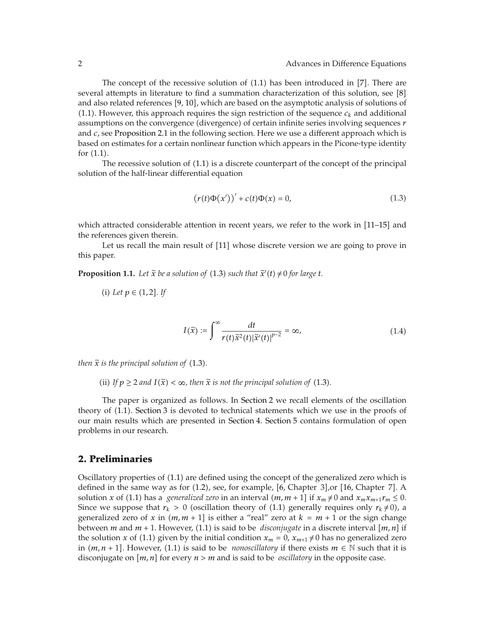The concept of the recessive solution of  $(1.1)$  has been introduced in  $[7]$ . There are several attempts in literature to find a summation characterization of this solution, see [8] and also related references  $[9, 10]$ , which are based on the asymptotic analysis of solutions of  $(1.1)$ . However, this approach requires the sign restriction of the sequence  $c_k$  and additional assumptions on the convergence (divergence) of certain infinite series involving sequences *r* and *c,* see Proposition 2.1 in the following section. Here we use a different approach which is based on estimates for a certain nonlinear function which appears in the Picone-type identity for  $(1.1)$ .

The recessive solution of  $(1.1)$  is a discrete counterpart of the concept of the principal solution of the half-linear differential equation

$$
\left(r(t)\Phi(x')\right)' + c(t)\Phi(x) = 0,\tag{1.3}
$$

which attracted considerable attention in recent years, we refer to the work in [11–15] and the references given therein.

Let us recall the main result of [11] whose discrete version we are going to prove in this paper.

**Proposition 1.1.** Let  $\tilde{x}$  be a solution of (1.3) such that  $\tilde{x}'(t) \neq 0$  for large t.

(i) Let 
$$
p \in (1, 2]
$$
. If

$$
I(\tilde{x}) := \int_{-\infty}^{\infty} \frac{dt}{r(t)\tilde{x}^{2}(t)|\tilde{x}'(t)|^{p-2}} = \infty,
$$
\n(1.4)

*then*  $\tilde{x}$  *is the principal solution of* (1.3).

(ii) If  $p \ge 2$  and  $I(\tilde{x}) < \infty$ , then  $\tilde{x}$  is not the principal solution of (1.3).

The paper is organized as follows. In Section 2 we recall elements of the oscillation theory of 1.1. Section 3 is devoted to technical statements which we use in the proofs of our main results which are presented in Section 4. Section 5 contains formulation of open problems in our research.

## **2. Preliminaries**

Oscillatory properties of  $(1.1)$  are defined using the concept of the generalized zero which is defined in the same way as for  $(1.2)$ , see, for example,  $[6$ , Chapter 3 $]$ , or  $[16$ , Chapter 7 $]$ . A solution *x* of (1.1) has a *generalized zero* in an interval  $(m, m + 1]$  if  $x_m \neq 0$  and  $x_m x_{m+1} r_m \leq 0$ . Since we suppose that  $r_k > 0$  (oscillation theory of (1.1) generally requires only  $r_k \neq 0$ ), a generalized zero of x in  $(m, m + 1]$  is either a "real" zero at  $k = m + 1$  or the sign change between *m* and *m* + 1. However, (1.1) is said to be *disconjugate* in a discrete interval  $[m, n]$  if the solution *x* of (1.1) given by the initial condition  $x_m = 0$ ,  $x_{m+1} \neq 0$  has no generalized zero in  $(m, n + 1]$ . However, (1.1) is said to be *nonoscillatory* if there exists  $m \in \mathbb{N}$  such that it is disconjugate on  $[m, n]$  for every  $n > m$  and is said to be *oscillatory* in the opposite case.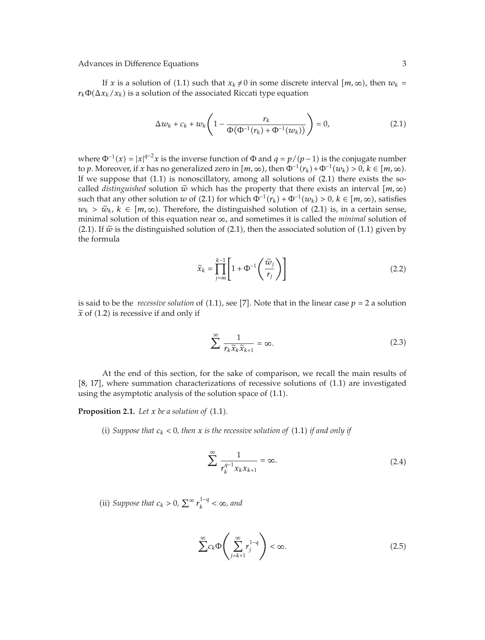If *x* is a solution of (1.1) such that  $x_k \neq 0$  in some discrete interval  $[m, \infty)$ , then  $w_k =$  $r_k \Phi(\Delta x_k/x_k)$  is a solution of the associated Riccati type equation

$$
\Delta w_k + c_k + w_k \left( 1 - \frac{r_k}{\Phi(\Phi^{-1}(r_k) + \Phi^{-1}(w_k))} \right) = 0, \tag{2.1}
$$

where  $\Phi^{-1}(x) = |x|^{q-2}x$  is the inverse function of  $\Phi$  and  $q = p/(p-1)$  is the conjugate number to *p*. Moreover, if *x* has no generalized zero in  $[m, \infty)$ , then  $\Phi^{-1}(r_k) + \Phi^{-1}(w_k) > 0$ ,  $k \in [m, \infty)$ . If we suppose that  $(1.1)$  is nonoscillatory, among all solutions of  $(2.1)$  there exists the socalled *distinguished* solution  $\tilde{w}$  which has the property that there exists an interval  $\left[m,\infty\right)$ such that any other solution *w* of (2.1) for which  $\Phi^{-1}(r_k) + \Phi^{-1}(w_k) > 0$ ,  $k \in [m, \infty)$ , satisfies  $w_k$  >  $\tilde{w}_k$ ,  $k \in [m, \infty)$ . Therefore, the distinguished solution of (2.1) is, in a certain sense, minimal solution of this equation near ∞*,* and sometimes it is called the *minimal* solution of (2.1). If  $\tilde{w}$  is the distinguished solution of (2.1), then the associated solution of (1.1) given by the formula

$$
\widetilde{x}_k = \prod_{j=m}^{k-1} \left[ 1 + \Phi^{-1} \left( \frac{\widetilde{w}_j}{r_j} \right) \right]
$$
\n(2.2)

is said to be the *recessive solution* of  $(1.1)$ , see [7]. Note that in the linear case  $p = 2$  a solution  $\tilde{x}$  of (1.2) is recessive if and only if

$$
\sum_{k=1}^{\infty} \frac{1}{r_k \tilde{x}_k \tilde{x}_{k+1}} = \infty.
$$
 (2.3)

At the end of this section, for the sake of comparison, we recall the main results of [8, 17], where summation characterizations of recessive solutions of (1.1) are investigated using the asymptotic analysis of the solution space of  $(1.1)$ .

**Proposition 2.1.** Let  $x$  be a solution of  $(1.1)$ .

(i) Suppose that  $c_k < 0$ , then x is the recessive solution of (1.1) if and only if

$$
\sum_{k=1}^{\infty} \frac{1}{r_k^{q-1} x_k x_{k+1}} = \infty.
$$
 (2.4)

(ii) *Suppose that*  $c_k > 0$ ,  $\sum^{\infty} r_k^{1-q} < \infty$ , and

$$
\sum^{\infty} c_k \Phi\left(\sum^{\infty}_{j=k+1} r_j^{1-q}\right) < \infty. \tag{2.5}
$$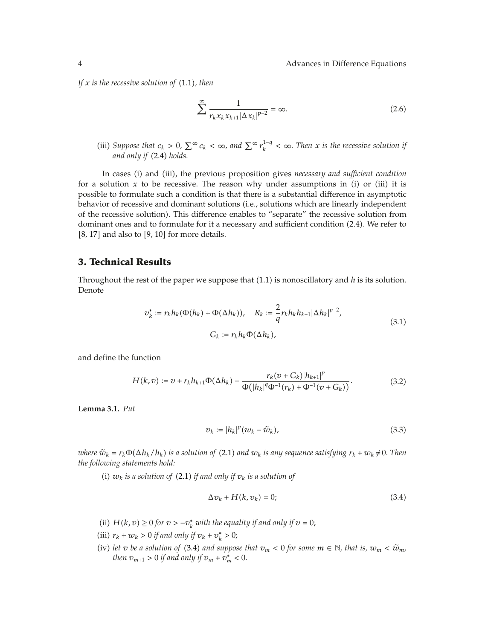*If*  $x$  *is the recessive solution of*  $(1.1)$ *, then* 

$$
\sum_{k=1}^{\infty} \frac{1}{r_k x_k x_{k+1} |\Delta x_k|^{p-2}} = \infty.
$$
 (2.6)

(iii) *Suppose that*  $c_k > 0$ ,  $\sum^{\infty} c_k < \infty$ , and  $\sum^{\infty} r_k^{1-q} < \infty$ . Then x is the recessive solution if and only if (2.4) holds.

In cases (i) and (iii), the previous proposition gives *necessary and sufficient condition* for a solution  $x$  to be recessive. The reason why under assumptions in (i) or (iii) it is possible to formulate such a condition is that there is a substantial difference in asymptotic behavior of recessive and dominant solutions (i.e., solutions which are linearly independent of the recessive solution). This difference enables to "separate" the recessive solution from dominant ones and to formulate for it a necessary and sufficient condition 2.4. We refer to  $[8, 17]$  and also to  $[9, 10]$  for more details.

## **3. Technical Results**

Throughout the rest of the paper we suppose that 1.1 is nonoscillatory and *h* is its solution. Denote

$$
v_k^* := r_k h_k(\Phi(h_k) + \Phi(\Delta h_k)), \quad R_k := \frac{2}{q} r_k h_k h_{k+1} |\Delta h_k|^{p-2},
$$
  

$$
G_k := r_k h_k \Phi(\Delta h_k),
$$
 (3.1)

and define the function

$$
H(k,v) := v + r_k h_{k+1} \Phi(\Delta h_k) - \frac{r_k (v + G_k) |h_{k+1}|^p}{\Phi(|h_k|^q \Phi^{-1}(r_k) + \Phi^{-1}(v + G_k))}.
$$
 (3.2)

**Lemma 3.1.** *Put*

$$
v_k := |h_k|^p (w_k - \tilde{w}_k), \tag{3.3}
$$

*where*  $\tilde{w}_k = r_k \Phi(\Delta h_k / h_k)$  *is a solution of* (2.1) *and*  $w_k$  *is any sequence satisfying*  $r_k + w_k \neq 0$ *. Then the following statements hold:*

(i)  $w_k$  *is a solution of* (2.1) *if and only if*  $v_k$  *is a solution of* 

$$
\Delta v_k + H(k, v_k) = 0; \tag{3.4}
$$

- (ii) *H*(*k*, *v*) ≥ 0 *for*  $v > −v<sub>k</sub><sup>*</sup>$  *with the equality if and only if*  $v = 0$ ;
- (iii)  $r_k + w_k > 0$  *if and only if*  $v_k + v_k^* > 0$ ;
- (iv) let *v* be a solution of (3.4) and suppose that  $v_m < 0$  for some  $m \in \mathbb{N}$ , that is,  $w_m < \tilde{w}_m$ , *then*  $v_{m+1} > 0$  *if and only if*  $v_m + v_m^* < 0$ *.*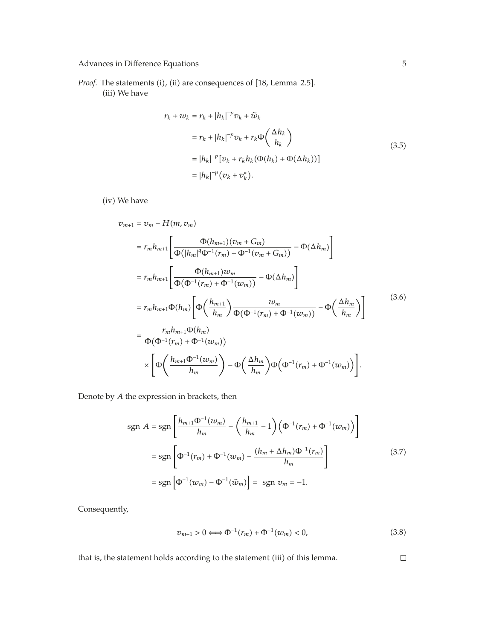*Proof.* The statements (i), (ii) are consequences of [18, Lemma 2.5]. (iii) We have

$$
r_k + w_k = r_k + |h_k|^{-p} v_k + \tilde{w}_k
$$
  
\n
$$
= r_k + |h_k|^{-p} v_k + r_k \Phi\left(\frac{\Delta h_k}{h_k}\right)
$$
  
\n
$$
= |h_k|^{-p} [v_k + r_k h_k(\Phi(h_k) + \Phi(\Delta h_k))]
$$
  
\n
$$
= |h_k|^{-p} (v_k + v_k^*).
$$
\n(3.5)

(iv) We have

$$
v_{m+1} = v_m - H(m, v_m)
$$
  
\n
$$
= r_m h_{m+1} \left[ \frac{\Phi(h_{m+1})(v_m + G_m)}{\Phi(|h_m|^q \Phi^{-1}(r_m) + \Phi^{-1}(v_m + G_m))} - \Phi(\Delta h_m) \right]
$$
  
\n
$$
= r_m h_{m+1} \left[ \frac{\Phi(h_{m+1})w_m}{\Phi(\Phi^{-1}(r_m) + \Phi^{-1}(w_m))} - \Phi(\Delta h_m) \right]
$$
  
\n
$$
= r_m h_{m+1} \Phi(h_m) \left[ \Phi\left(\frac{h_{m+1}}{h_m}\right) \frac{w_m}{\Phi(\Phi^{-1}(r_m) + \Phi^{-1}(w_m))} - \Phi\left(\frac{\Delta h_m}{h_m}\right) \right]
$$
  
\n
$$
= \frac{r_m h_{m+1} \Phi(h_m)}{\Phi(\Phi^{-1}(r_m) + \Phi^{-1}(w_m))}
$$
  
\n
$$
\times \left[ \Phi\left(\frac{h_{m+1} \Phi^{-1}(w_m)}{h_m}\right) - \Phi\left(\frac{\Delta h_m}{h_m}\right) \Phi(\Phi^{-1}(r_m) + \Phi^{-1}(w_m)) \right].
$$
  
\n(3.6)

Denote by *A* the expression in brackets, then

$$
sgn A = sgn \left[ \frac{h_{m+1} \Phi^{-1}(w_m)}{h_m} - \left( \frac{h_{m+1}}{h_m} - 1 \right) \left( \Phi^{-1}(r_m) + \Phi^{-1}(w_m) \right) \right]
$$
  

$$
= sgn \left[ \Phi^{-1}(r_m) + \Phi^{-1}(w_m) - \frac{(h_m + \Delta h_m) \Phi^{-1}(r_m)}{h_m} \right]
$$
  

$$
= sgn \left[ \Phi^{-1}(w_m) - \Phi^{-1}(\tilde{w}_m) \right] = sgn \ v_m = -1.
$$
 (3.7)

Consequently,

$$
v_{m+1} > 0 \Longleftrightarrow \Phi^{-1}(r_m) + \Phi^{-1}(w_m) < 0,
$$
\n(3.8)

that is, the statement holds according to the statement (iii) of this lemma.

 $\Box$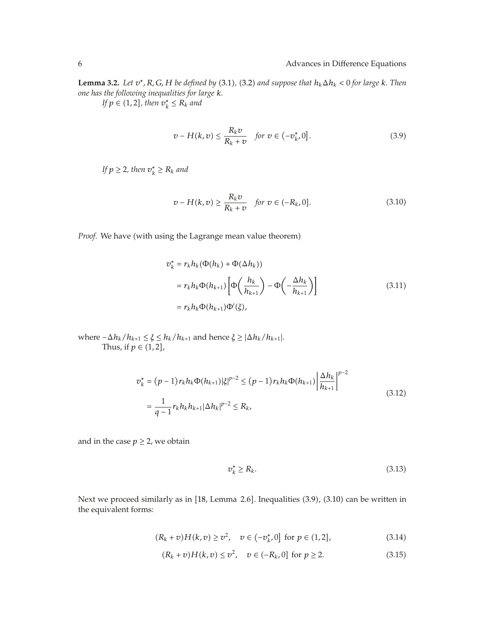**Lemma 3.2.** *Let*  $v^*$ *, R, G, H be defined by* (3.1), (3.2) *and suppose that*  $h_k \Delta h_k < 0$  *for large k. Then one has the following inequalities for large k.*

 $\int f(x) \in (1, 2]$ , then  $v_k^* \leq R_k$  and

$$
v - H(k, v) \le \frac{R_k v}{R_k + v} \quad \text{for } v \in (-v_k^*, 0]. \tag{3.9}
$$

*If*  $p \geq 2$ , then  $v_k^* \geq R_k$  and

$$
v - H(k, v) \ge \frac{R_k v}{R_k + v} \quad \text{for } v \in (-R_k, 0]. \tag{3.10}
$$

*Proof.* We have (with using the Lagrange mean value theorem)

$$
\begin{aligned} v_k^* &= r_k h_k(\Phi(h_k) + \Phi(\Delta h_k)) \\ &= r_k h_k \Phi(h_{k+1}) \left[ \Phi\left(\frac{h_k}{h_{k+1}}\right) - \Phi\left(-\frac{\Delta h_k}{h_{k+1}}\right) \right] \\ &= r_k h_k \Phi(h_{k+1}) \Phi'(\xi), \end{aligned} \tag{3.11}
$$

where  $-\Delta h_k/h_{k+1} \leq \xi \leq h_k/h_{k+1}$  and hence  $\xi \geq |\Delta h_k/h_{k+1}|$ . Thus, if  $p \in (1,2]$ ,

$$
v_k^* = (p-1)r_k h_k \Phi(h_{k+1}) |\xi|^{p-2} \le (p-1)r_k h_k \Phi(h_{k+1}) \left| \frac{\Delta h_k}{h_{k+1}} \right|^{p-2}
$$
  
= 
$$
\frac{1}{q-1} r_k h_k h_{k+1} |\Delta h_k|^{p-2} \le R_k,
$$
 (3.12)

and in the case  $p \geq 2$ , we obtain

$$
\mathbf{v}_k^* \ge R_k. \tag{3.13}
$$

Next we proceed similarly as in [18, Lemma 2.6]. Inequalities (3.9), (3.10) can be written in the equivalent forms:

$$
(R_k + v)H(k, v) \ge v^2, \quad v \in (-v_{k'}^*)0] \text{ for } p \in (1, 2],
$$
 (3.14)

$$
(R_k + v)H(k, v) \le v^2, \quad v \in (-R_k, 0] \text{ for } p \ge 2.
$$
 (3.15)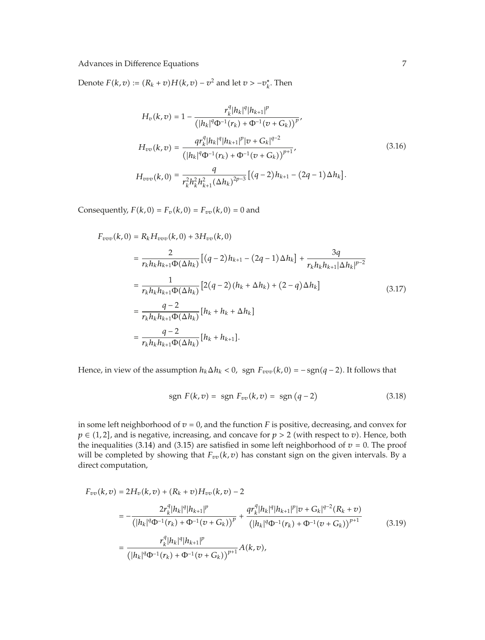Denote  $F(k, v) := (R_k + v)H(k, v) - v^2$  and let  $v > -v_k^*$ . Then

$$
H_v(k, v) = 1 - \frac{r_k^q |h_k|^q |h_{k+1}|^p}{\left(|h_k|^q \Phi^{-1}(r_k) + \Phi^{-1}(v + G_k)\right)^p},
$$
  
\n
$$
H_{vv}(k, v) = \frac{qr_k^q |h_k|^q |h_{k+1}|^p |v + G_k|^{q-2}}{\left(|h_k|^q \Phi^{-1}(r_k) + \Phi^{-1}(v + G_k)\right)^{p+1}},
$$
  
\n
$$
H_{vvv}(k, 0) = \frac{q}{r_k^2 h_k^2 h_{k+1}^2 (\Delta h_k)^{2p-3}} \left[ (q-2)h_{k+1} - (2q-1) \Delta h_k \right].
$$
\n(3.16)

Consequently,  $F(k, 0) = F_v(k, 0) = F_{vv}(k, 0) = 0$  and

$$
F_{vvv}(k,0) = R_k H_{vvv}(k,0) + 3H_{vv}(k,0)
$$
  
\n
$$
= \frac{2}{r_k h_k h_{k+1} \Phi(\Delta h_k)} [(q-2)h_{k+1} - (2q-1)\Delta h_k] + \frac{3q}{r_k h_k h_{k+1} |\Delta h_k|^{p-2}}
$$
  
\n
$$
= \frac{1}{r_k h_k h_{k+1} \Phi(\Delta h_k)} [2(q-2)(h_k + \Delta h_k) + (2-q)\Delta h_k]
$$
  
\n
$$
= \frac{q-2}{r_k h_k h_{k+1} \Phi(\Delta h_k)} [h_k + h_k + \Delta h_k]
$$
  
\n
$$
= \frac{q-2}{r_k h_k h_{k+1} \Phi(\Delta h_k)} [h_k + h_{k+1}].
$$
  
\n(3.17)

Hence, in view of the assumption  $h_k \Delta h_k < 0$ , sgn  $F_{vvv}(k, 0) = -\text{sgn}(q - 2)$ . It follows that

$$
sgn F(k, v) = sgn F_{vv}(k, v) = sgn (q - 2)
$$
\n(3.18)

in some left neighborhood of  $v = 0$ , and the function  $F$  is positive, decreasing, and convex for  $p \in (1,2]$ , and is negative, increasing, and concave for  $p > 2$  (with respect to *v*). Hence, both the inequalities (3.14) and (3.15) are satisfied in some left neighborhood of  $v = 0$ . The proof will be completed by showing that  $F_{vv}(k, v)$  has constant sign on the given intervals. By a direct computation,

$$
F_{vv}(k,v) = 2H_v(k,v) + (R_k + v)H_{vv}(k,v) - 2
$$
  
\n
$$
= -\frac{2r_k^q|h_k|^q|h_{k+1}|^p}{(|h_k|^q\Phi^{-1}(r_k) + \Phi^{-1}(v + G_k))^{p}} + \frac{qr_k^q|h_k|^q|h_{k+1}|^p|v + G_k|^{q-2}(R_k + v)}{(|h_k|^q\Phi^{-1}(r_k) + \Phi^{-1}(v + G_k))^{p+1}}
$$
(3.19)  
\n
$$
= \frac{r_k^q|h_k|^q|h_{k+1}|^p}{(|h_k|^q\Phi^{-1}(r_k) + \Phi^{-1}(v + G_k))^{p+1}}A(k,v),
$$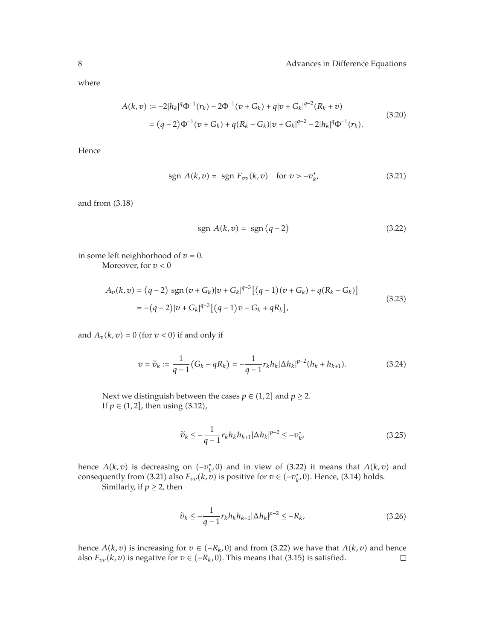where

$$
A(k, v) := -2|h_k|^q \Phi^{-1}(r_k) - 2\Phi^{-1}(v + G_k) + q|v + G_k|^{q-2}(R_k + v)
$$
  
=  $(q-2)\Phi^{-1}(v + G_k) + q(R_k - G_k)|v + G_k|^{q-2} - 2|h_k|^q \Phi^{-1}(r_k).$  (3.20)

Hence

$$
sgn \, A(k, v) = sgn \, F_{vv}(k, v) \quad \text{for } v > -v_{k'}^* \tag{3.21}
$$

and from  $(3.18)$ 

$$
sgn A(k, v) = sgn (q-2)
$$
\n(3.22)

in some left neighborhood of  $v = 0$ . Moreover, for *v <* 0

$$
A_v(k,v) = (q-2) \text{ sgn}(v + G_k)|v + G_k|^{q-3} [(q-1)(v + G_k) + q(R_k - G_k)]
$$
  
= -(q-2)|v + G\_k|^{q-3} [(q-1)v - G\_k + qR\_k], (3.23)

and  $A_v(k, v) = 0$  (for  $v < 0$ ) if and only if

$$
v = \tilde{v}_k := \frac{1}{q-1} (G_k - qR_k) = -\frac{1}{q-1} r_k h_k |\Delta h_k|^{p-2} (h_k + h_{k+1}).
$$
 (3.24)

Next we distinguish between the cases  $p \in (1,2]$  and  $p \ge 2$ . If  $p \in (1, 2]$ , then using  $(3.12)$ ,

$$
\widetilde{v}_k \le -\frac{1}{q-1} r_k h_k h_{k+1} |\Delta h_k|^{p-2} \le -v_{k'}^* \tag{3.25}
$$

hence  $A(k, v)$  is decreasing on  $(-v_k^*, 0)$  and in view of  $(3.22)$  it means that  $A(k, v)$  and consequently from (3.21) also  $F_{vv}(k, v)$  is positive for  $v \in (-v_k^*, 0)$ . Hence, (3.14) holds. Similarly, if  $p \geq 2$ , then

$$
\tilde{v}_k \le -\frac{1}{q-1} r_k h_k h_{k+1} |\Delta h_k|^{p-2} \le -R_k,\tag{3.26}
$$

hence *A*(*k*, *v*) is increasing for *v* ∈ (−*R<sub>k</sub>*, 0) and from (3.22) we have that *A*(*k*, *v*) and hence also  $F_{nn}(k, v)$  is negative for *v* ∈ (−*R<sub>k</sub>*, 0). This means that (3.15) is satisfied. also  $F_{vv}(k, v)$  is negative for  $v \in (-R_k, 0)$ . This means that (3.15) is satisfied.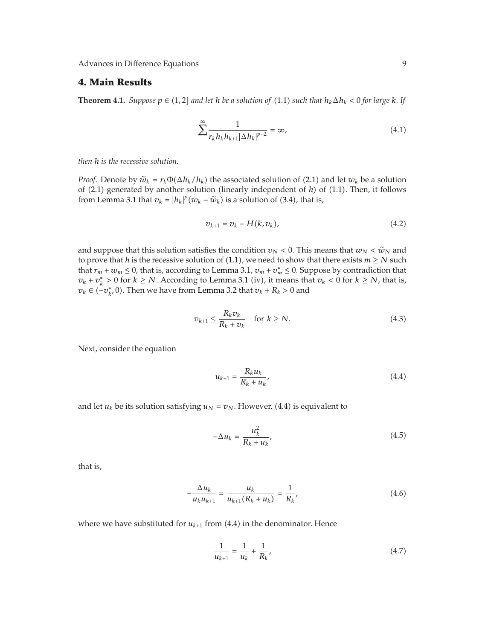## **4. Main Results**

**Theorem 4.1.** *Suppose*  $p \in (1, 2]$  *and let h be a solution of*  $(1.1)$  *such that*  $h_k \Delta h_k < 0$  *for large k. If* 

$$
\sum_{k=1}^{\infty} \frac{1}{r_k h_k h_{k+1} |\Delta h_k|^{p-2}} = \infty, \tag{4.1}
$$

*then h is the recessive solution.*

*Proof.* Denote by  $\tilde{w}_k = r_k \Phi(\Delta h_k / h_k)$  the associated solution of (2.1) and let  $w_k$  be a solution of (2.1) generated by another solution (linearly independent of *h*) of (1.1). Then, it follows from Lemma 3.1 that  $v_k = |h_k|^p (w_k - \tilde{w}_k)$  is a solution of (3.4), that is,

$$
v_{k+1} = v_k - H(k, v_k),
$$
\n(4.2)

and suppose that this solution satisfies the condition  $v_N < 0$ . This means that  $w_N < \tilde{w}_N$  and to prove that *h* is the recessive solution of (1.1), we need to show that there exists  $m \ge N$  such that  $r_m + w_m \leq 0$ , that is, according to Lemma 3.1,  $v_m + v_m^* \leq 0$ . Suppose by contradiction that *v<sub>k</sub>* + *v*<sub>*k*</sub><sup> $\ge$ </sup> 0 for *k* ≥ *N*. According to Lemma 3.1 (iv), it means that *v<sub>k</sub>* < 0 for *k* ≥ *N*, that is, *v*<sub>*k*</sub> ∈ (−*v*<sub>*k*</sub><sup>*,*</sup> 0). Then we have from Lemma 3.2 that *v*<sub>*k*</sub> + *R*<sub>*k*</sub> > 0 and

$$
v_{k+1} \le \frac{R_k v_k}{R_k + v_k} \quad \text{for } k \ge N. \tag{4.3}
$$

Next, consider the equation

$$
u_{k+1} = \frac{R_k u_k}{R_k + u_k},
$$
\n(4.4)

and let  $u_k$  be its solution satisfying  $u_N = v_N$ . However, (4.4) is equivalent to

$$
-\Delta u_k = \frac{u_k^2}{R_k + u_k},\tag{4.5}
$$

that is,

$$
-\frac{\Delta u_k}{u_k u_{k+1}} = \frac{u_k}{u_{k+1}(R_k + u_k)} = \frac{1}{R_k},
$$
\n(4.6)

where we have substituted for  $u_{k+1}$  from (4.4) in the denominator. Hence

$$
\frac{1}{u_{k+1}} = \frac{1}{u_k} + \frac{1}{R_k},\tag{4.7}
$$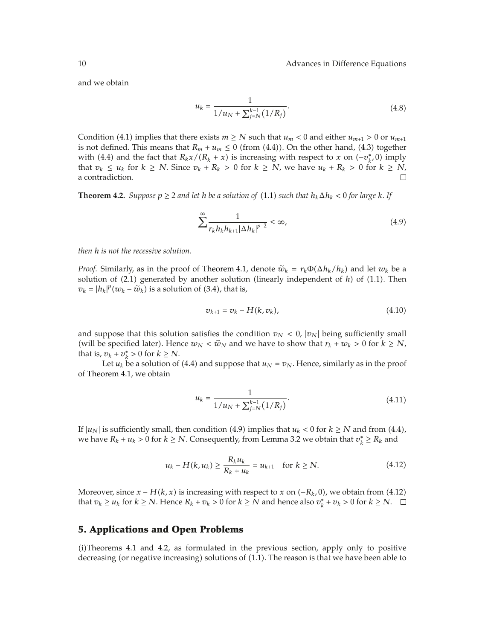and we obtain

$$
u_k = \frac{1}{1/u_N + \sum_{j=N}^{k-1} (1/R_j)}.
$$
\n(4.8)

Condition (4.1) implies that there exists  $m \ge N$  such that  $u_m < 0$  and either  $u_{m+1} > 0$  or  $u_{m+1}$ is not defined. This means that  $R_m + u_m \leq 0$  (from (4.4)). On the other hand, (4.3) together with (4.4) and the fact that  $R_kx/(R_k + x)$  is increasing with respect to *x* on  $(-v_k^*, 0)$  imply that *v<sub>k</sub>* ≤ *u<sub>k</sub>* for *k* ≥ *N*. Since *v<sub>k</sub>* + *R<sub>k</sub>* > 0 for *k* ≥ *N*, we have *u<sub>k</sub>* + *R<sub>k</sub>* > 0 for *k* ≥ *N*, a contradiction. a contradiction.

**Theorem 4.2.** *Suppose*  $p \geq 2$  *and let h be a solution of* (1.1) *such that*  $h_k \Delta h_k < 0$  *for large k.* If

$$
\sum_{k=1}^{\infty} \frac{1}{r_k h_k h_{k+1} |\Delta h_k|^{p-2}} < \infty,\tag{4.9}
$$

*then h is not the recessive solution.*

*Proof.* Similarly, as in the proof of Theorem 4.1, denote  $\tilde{w}_k = r_k \Phi(\Delta h_k / h_k)$  and let  $w_k$  be a solution of  $(2.1)$  generated by another solution (linearly independent of  $h$ ) of  $(1.1)$ . Then  $v_k = |h_k|^p (w_k - \tilde{w}_k)$  is a solution of (3.4), that is,

$$
v_{k+1} = v_k - H(k, v_k), \tag{4.10}
$$

and suppose that this solution satisfies the condition  $v_N < 0$ ,  $|v_N|$  being sufficiently small (will be specified later). Hence  $w_N < \tilde{w}_N$  and we have to show that  $r_k + w_k > 0$  for  $k \ge N$ , that is,  $v_k + v_k^* > 0$  for  $k \geq N$ .

Let  $u_k$  be a solution of (4.4) and suppose that  $u_N = v_N$ . Hence, similarly as in the proof of Theorem 4.1, we obtain

$$
u_k = \frac{1}{1/u_N + \sum_{j=N}^{k-1} (1/R_j)}.
$$
\n(4.11)

If  $|u_N|$  is sufficiently small, then condition (4.9) implies that  $u_k < 0$  for  $k \ge N$  and from (4.4), we have  $R_k + u_k > 0$  for  $k \geq N$ . Consequently, from Lemma 3.2 we obtain that  $v_k^* \geq R_k$  and

$$
u_k - H(k, u_k) \ge \frac{R_k u_k}{R_k + u_k} = u_{k+1} \quad \text{for } k \ge N. \tag{4.12}
$$

Moreover, since  $x - H(k, x)$  is increasing with respect to  $x$  on  $(-R_k, 0)$ , we obtain from (4.12) that  $v_k \geq u_k$  for  $k \geq N$ . Hence  $R_k + v_k > 0$  for  $k \geq N$  and hence also  $v_k^* + v_k > 0$  for  $k \geq N$ .

## **5. Applications and Open Problems**

 $(i)$ Theorems 4.1 and 4.2, as formulated in the previous section, apply only to positive decreasing (or negative increasing) solutions of  $(1.1)$ . The reason is that we have been able to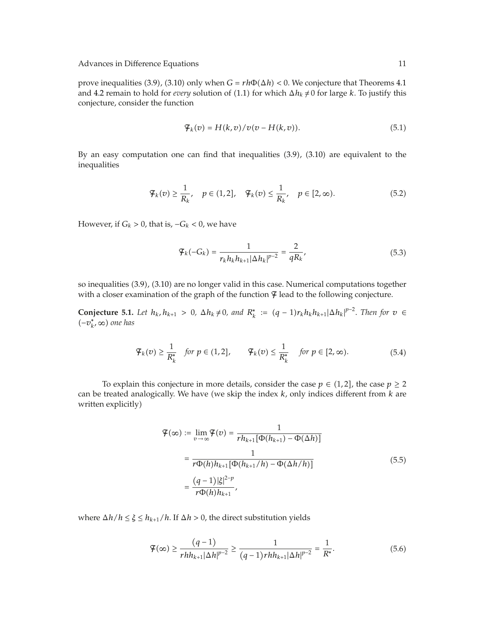prove inequalities (3.9), (3.10) only when  $G = rh\Phi(\Delta h) < 0$ . We conjecture that Theorems 4.1 and 4.2 remain to hold for *every* solution of (1.1) for which  $\Delta h_k \neq 0$  for large *k*. To justify this conjecture, consider the function

$$
\mathcal{F}_k(v) = H(k, v) / v(v - H(k, v)). \tag{5.1}
$$

By an easy computation one can find that inequalities  $(3.9)$ ,  $(3.10)$  are equivalent to the inequalities

$$
\mathcal{F}_k(v) \ge \frac{1}{R_k}, \quad p \in (1, 2], \quad \mathcal{F}_k(v) \le \frac{1}{R_k}, \quad p \in [2, \infty). \tag{5.2}
$$

However, if  $G_k > 0$ , that is,  $-G_k < 0$ , we have

$$
\mathcal{F}_k(-G_k) = \frac{1}{r_k h_k h_{k+1} |\Delta h_k|^{p-2}} = \frac{2}{q R_k},
$$
\n(5.3)

so inequalities (3.9), (3.10) are no longer valid in this case. Numerical computations together with a closer examination of the graph of the function  $\Psi$  lead to the following conjecture.

**Conjecture 5.1.** *Let*  $h_k, h_{k+1} > 0$ ,  $\Delta h_k \neq 0$ , and  $R_k^* := (q-1)r_kh_kh_{k+1}|\Delta h_k|^{p-2}$ . Then for  $v \in$ −*v*<sup>∗</sup> *<sup>k</sup>,* ∞ *one has*

$$
\mathcal{F}_k(v) \ge \frac{1}{R_k^*} \quad \text{for } p \in (1, 2], \qquad \mathcal{F}_k(v) \le \frac{1}{R_k^*} \quad \text{for } p \in [2, \infty). \tag{5.4}
$$

To explain this conjecture in more details, consider the case  $p \in (1,2]$ , the case  $p \ge 2$ can be treated analogically. We have (we skip the index *k*, only indices different from *k* are written explicitly

$$
\mathcal{F}(\infty) := \lim_{v \to \infty} \mathcal{F}(v) = \frac{1}{rh_{k+1} [\Phi(h_{k+1}) - \Phi(\Delta h)]}
$$
  
= 
$$
\frac{1}{r \Phi(h) h_{k+1} [\Phi(h_{k+1}/h) - \Phi(\Delta h/h)]}
$$
  
= 
$$
\frac{(q-1)|\xi|^{2-p}}{r \Phi(h) h_{k+1}},
$$
 (5.5)

where  $\Delta h/h \leq \xi \leq h_{k+1}/h$ . If  $\Delta h > 0$ , the direct substitution yields

$$
\mathcal{F}(\infty) \ge \frac{(q-1)}{rhh_{k+1}|\Delta h|^{p-2}} \ge \frac{1}{(q-1)rhh_{k+1}|\Delta h|^{p-2}} = \frac{1}{R^*}.
$$
\n(5.6)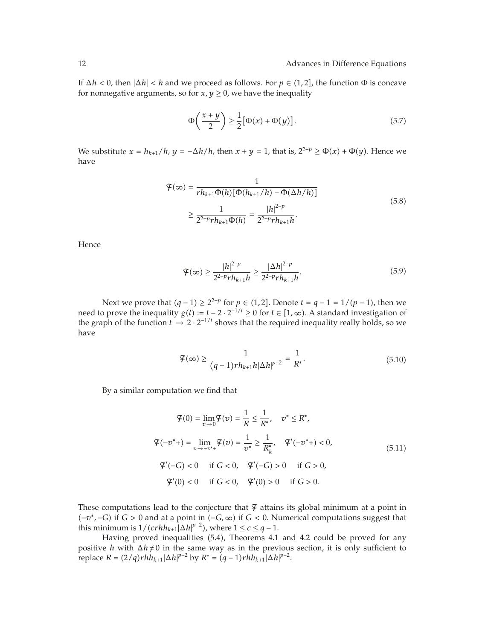If  $\Delta h < 0$ , then  $|\Delta h| < h$  and we proceed as follows. For  $p \in (1,2]$ , the function  $\Phi$  is concave for nonnegative arguments, so for  $x, y \ge 0$ , we have the inequality

$$
\Phi\left(\frac{x+y}{2}\right) \ge \frac{1}{2} \left[\Phi(x) + \Phi(y)\right].\tag{5.7}
$$

We substitute  $x = h_{k+1}/h$ ,  $y = -\Delta h/h$ , then  $x + y = 1$ , that is,  $2^{2-p} \ge \Phi(x) + \Phi(y)$ . Hence we have

$$
\mathcal{F}(\infty) = \frac{1}{rh_{k+1}\Phi(h)[\Phi(h_{k+1}/h) - \Phi(\Delta h/h)]}
$$
  
\n
$$
\geq \frac{1}{2^{2-p}rh_{k+1}\Phi(h)} = \frac{|h|^{2-p}}{2^{2-p}rh_{k+1}h}.
$$
\n(5.8)

Hence

$$
\mathcal{F}(\infty) \ge \frac{|h|^{2-p}}{2^{2-p}rh_{k+1}h} \ge \frac{|\Delta h|^{2-p}}{2^{2-p}rh_{k+1}h}.\tag{5.9}
$$

Next we prove that  $(q - 1) \ge 2^{2-p}$  for  $p \in (1, 2]$ . Denote  $t = q - 1 = 1/(p - 1)$ , then we need to prove the inequality *g(t)* :=  $t - 2 \cdot 2^{-1/t} \ge 0$  for  $t \in [1, \infty)$ . A standard investigation of the graph of the function *t* → 2 · 2−1*/t* shows that the required inequality really holds, so we have

$$
\mathcal{F}(\infty) \ge \frac{1}{(q-1)rh_{k+1}h|\Delta h|^{p-2}} = \frac{1}{R^*}.
$$
\n(5.10)

By a similar computation we find that

$$
\mathcal{F}(0) = \lim_{v \to 0} \mathcal{F}(v) = \frac{1}{R} \le \frac{1}{R^*}, \quad v^* \le R^*,
$$
  

$$
\mathcal{F}(-v^*) = \lim_{v \to -v^*+} \mathcal{F}(v) = \frac{1}{v^*} \ge \frac{1}{R^*_{k}}, \quad \mathcal{F}'(-v^*) < 0,
$$
  

$$
\mathcal{F}'(-G) < 0 \quad \text{if } G < 0, \quad \mathcal{F}'(-G) > 0 \quad \text{if } G > 0,
$$
  

$$
\mathcal{F}'(0) < 0 \quad \text{if } G < 0, \quad \mathcal{F}'(0) > 0 \quad \text{if } G > 0.
$$
  
(5.11)

These computations lead to the conjecture that  $\Psi$  attains its global minimum at a point in  $(-v^*,-G)$  if  $G > 0$  and at a point in  $(-G, \infty)$  if  $G < 0$ . Numerical computations suggest that this minimum is  $1/(c r h h_{k+1} | \Delta h|^{p-2})$ , where  $1 \leq c \leq q-1$ .

Having proved inequalities (5.4), Theorems 4.1 and 4.2 could be proved for any positive *h* with  $\Delta h \neq 0$  in the same way as in the previous section, it is only sufficient to  $\text{replace } R = (2/q) r h h_{k+1} |\Delta h|^{p-2} \text{ by } R^* = (q-1) r h h_{k+1} |\Delta h|^{p-2}.$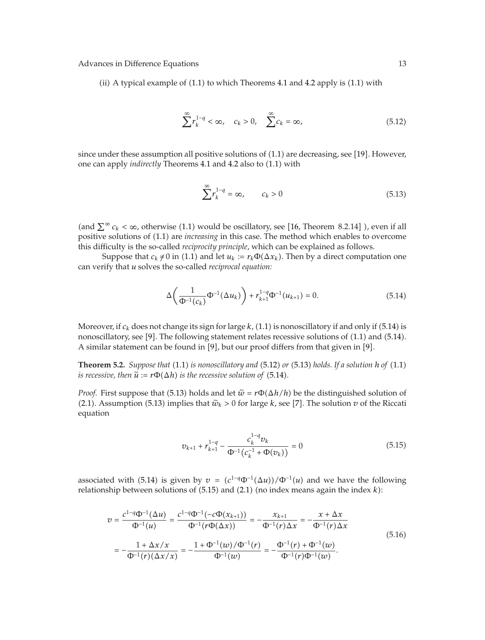(ii) A typical example of  $(1.1)$  to which Theorems 4.1 and 4.2 apply is  $(1.1)$  with

$$
\sum_{k=1}^{\infty} r_k^{1-q} < \infty, \quad c_k > 0, \quad \sum_{k=1}^{\infty} c_k = \infty,\tag{5.12}
$$

since under these assumption all positive solutions of  $(1.1)$  are decreasing, see [19]. However, one can apply *indirectly* Theorems 4.1 and 4.2 also to (1.1) with

$$
\sum_{k=1}^{\infty} r_k^{1-q} = \infty, \qquad c_k > 0 \tag{5.13}
$$

(and  $\sum^{\infty} c_k < \infty$ , otherwise (1.1) would be oscillatory, see [16, Theorem 8.2.14] ), even if all positive solutions of  $(1.1)$  are *increasing* in this case. The method which enables to overcome this difficulty is the so-called *reciprocity principle*, which can be explained as follows.

Suppose that  $c_k \neq 0$  in (1.1) and let  $u_k := r_k \Phi(\Delta x_k)$ . Then by a direct computation one can verify that *u* solves the so-called *reciprocal equation:*

$$
\Delta\left(\frac{1}{\Phi^{-1}(c_k)}\Phi^{-1}(\Delta u_k)\right) + r_{k+1}^{1-q}\Phi^{-1}(u_{k+1}) = 0.
$$
\n(5.14)

Moreover, if  $c_k$  does not change its sign for large  $k$ , (1.1) is nonoscillatory if and only if (5.14) is nonoscillatory, see [9]. The following statement relates recessive solutions of  $(1.1)$  and  $(5.14)$ . A similar statement can be found in [9], but our proof differs from that given in [9].

**Theorem 5.2.** *Suppose that* (1.1) *is nonoscillatory and* (5.12) *or* (5.13) *holds. If a solution h of* (1.1) *is recessive, then*  $\tilde{u} := r\Phi(\Delta h)$  *is the recessive solution of* (5.14).

*Proof.* First suppose that (5.13) holds and let  $\tilde{w} = r\Phi(\Delta h/h)$  be the distinguished solution of (2.1). Assumption (5.13) implies that  $\tilde{w}_k > 0$  for large *k*, see [7]. The solution *v* of the Riccation equation

$$
v_{k+1} + r_{k+1}^{1-q} - \frac{c_k^{1-q} v_k}{\Phi^{-1} (c_k^{-1} + \Phi(v_k))} = 0
$$
\n(5.15)

associated with (5.14) is given by  $v = (c^{1-q}\Phi^{-1}(\Delta u))/\Phi^{-1}(u)$  and we have the following relationship between solutions of  $(5.15)$  and  $(2.1)$  (no index means again the index  $k$ ):

$$
v = \frac{c^{1-q}\Phi^{-1}(\Delta u)}{\Phi^{-1}(u)} = \frac{c^{1-q}\Phi^{-1}(-c\Phi(x_{k+1}))}{\Phi^{-1}(r\Phi(\Delta x))} = -\frac{x_{k+1}}{\Phi^{-1}(r)\Delta x} = -\frac{x + \Delta x}{\Phi^{-1}(r)\Delta x}
$$
  
= 
$$
-\frac{1 + \Delta x/x}{\Phi^{-1}(r)(\Delta x/x)} = -\frac{1 + \Phi^{-1}(w)/\Phi^{-1}(r)}{\Phi^{-1}(w)} = -\frac{\Phi^{-1}(r) + \Phi^{-1}(w)}{\Phi^{-1}(r)\Phi^{-1}(w)}.
$$
(5.16)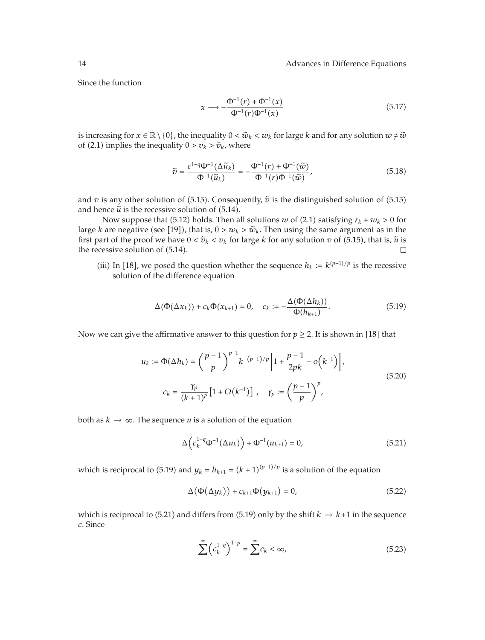Since the function

$$
x \longrightarrow -\frac{\Phi^{-1}(r) + \Phi^{-1}(x)}{\Phi^{-1}(r)\Phi^{-1}(x)}
$$
\n(5.17)

is increasing for  $x \in \mathbb{R} \setminus \{0\}$ , the inequality  $0 < \tilde{w}_k < w_k$  for large *k* and for any solution  $w \neq \tilde{w}$ of (2.1) implies the inequality  $0 > v_k > \tilde{v}_k$ , where

$$
\widetilde{v} = \frac{c^{1-q}\Phi^{-1}(\Delta \widetilde{u}_k)}{\Phi^{-1}(\widetilde{u}_k)} = -\frac{\Phi^{-1}(r) + \Phi^{-1}(\widetilde{w})}{\Phi^{-1}(r)\Phi^{-1}(\widetilde{w})},\tag{5.18}
$$

and  $v$  is any other solution of (5.15). Consequently,  $\tilde{v}$  is the distinguished solution of (5.15) and hence  $\tilde{u}$  is the recessive solution of  $(5.14)$ .

Now suppose that (5.12) holds. Then all solutions *w* of (2.1) satisfying  $r_k + w_k > 0$  for large *k* are negative (see [19]), that is,  $0 > w_k > \tilde{w}_k$ . Then using the same argument as in the first part of the proof we have  $0 < \tilde{v}_k < v_k$  for large *k* for any solution  $v$  of (5.15), that is,  $\tilde{u}$  is first part of the proof we have  $0 < \tilde{v}_k < v_k$  for large *k* for any solution *v* of (5.15), that is,  $\tilde{u}$  is the recessive solution of (5.14). the recessive solution of  $(5.14)$ .

(iii) In [18], we posed the question whether the sequence  $h_k := k^{(p-1)/p}$  is the recessive solution of the difference equation

$$
\Delta(\Phi(\Delta x_k)) + c_k \Phi(x_{k+1}) = 0, \quad c_k := -\frac{\Delta(\Phi(\Delta h_k))}{\Phi(h_{k+1})}.
$$
\n
$$
(5.19)
$$

Now we can give the affirmative answer to this question for  $p \geq 2$ . It is shown in [18] that

$$
u_k := \Phi(\Delta h_k) = \left(\frac{p-1}{p}\right)^{p-1} k^{-(p-1)/p} \left[1 + \frac{p-1}{2pk} + o(k^{-1})\right],
$$
  

$$
c_k = \frac{\gamma_p}{(k+1)^p} \left[1 + O(k^{-1})\right], \quad \gamma_p := \left(\frac{p-1}{p}\right)^p,
$$
 (5.20)

both as  $k \to \infty$ . The sequence *u* is a solution of the equation

$$
\Delta \left( c_k^{1-q} \Phi^{-1} (\Delta u_k) \right) + \Phi^{-1} (u_{k+1}) = 0, \tag{5.21}
$$

which is reciprocal to (5.19) and  $y_k = h_{k+1} = (k+1)^{(p-1)/p}$  is a solution of the equation

$$
\Delta\big(\Phi(\Delta y_k)\big) + c_{k+1}\Phi(y_{k+1}) = 0,\tag{5.22}
$$

which is reciprocal to (5.21) and differs from (5.19) only by the shift  $k \to k+1$  in the sequence *c*. Since

$$
\sum_{k=1}^{\infty} \left( c_k^{1-q} \right)^{1-p} = \sum_{k=1}^{\infty} c_k < \infty,\tag{5.23}
$$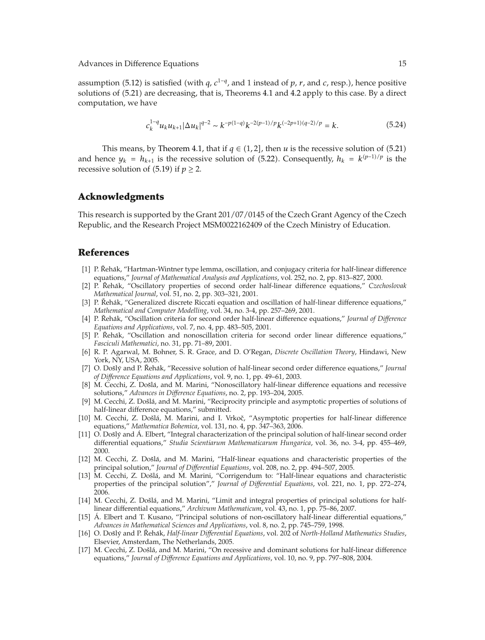assumption (5.12) is satisfied (with *q*,  $c^{1-q}$ , and 1 instead of *p*, *r*, and *c*, resp.), hence positive solutions of 5.21 are decreasing, that is, Theorems 4.1 and 4.2 apply to this case. By a direct computation, we have

$$
c_k^{1-q} u_k u_{k+1} |\Delta u_k|^{q-2} \sim k^{-p(1-q)} k^{-2(p-1)/p} k^{(-2p+1)(q-2)/p} = k. \tag{5.24}
$$

This means, by Theorem 4.1, that if  $q \in (1,2]$ , then *u* is the recessive solution of (5.21) and hence  $y_k = h_{k+1}$  is the recessive solution of (5.22). Consequently,  $h_k = k^{(p-1)/p}$  is the recessive solution of  $(5.19)$  if  $p \ge 2$ .

#### **Acknowledgments**

This research is supported by the Grant 201/07/0145 of the Czech Grant Agency of the Czech Republic, and the Research Project MSM0022162409 of the Czech Ministry of Education.

## **References**

- [1] P. Řehák, "Hartman-Wintner type lemma, oscillation, and conjugacy criteria for half-linear difference equations," *Journal of Mathematical Analysis and Applications*, vol. 252, no. 2, pp. 813–827, 2000.
- [2] P. Řehák, "Oscillatory properties of second order half-linear difference equations," Czechoslovak *Mathematical Journal*, vol. 51, no. 2, pp. 303–321, 2001.
- [3] P. Řehák, "Generalized discrete Riccati equation and oscillation of half-linear difference equations," *Mathematical and Computer Modelling*, vol. 34, no. 3-4, pp. 257–269, 2001.
- [4] P. Řehák, "Oscillation criteria for second order half-linear difference equations," *Journal of Difference Equations and Applications*, vol. 7, no. 4, pp. 483–505, 2001.
- [5] P. Řehák, "Oscillation and nonoscillation criteria for second order linear difference equations," *Fasciculi Mathematici*, no. 31, pp. 71–89, 2001.
- 6 R. P. Agarwal, M. Bohner, S. R. Grace, and D. O'Regan, *Discrete Oscillation Theory*, Hindawi, New York, NY, USA, 2005.
- [7] O. Došlý and P. Řehák, "Recessive solution of half-linear second order difference equations," Journal *of Difference Equations and Applications*, vol. 9, no. 1, pp. 49–61, 2003.
- [8] M. Cecchi, Z. Došlá, and M. Marini, "Nonoscillatory half-linear difference equations and recessive solutions," *Advances in Difference Equations*, no. 2, pp. 193–204, 2005.
- [9] M. Cecchi, Z. Došlá, and M. Marini, "Reciprocity principle and asymptotic properties of solutions of half-linear difference equations," submitted.
- [10] M. Cecchi, Z. Došlá, M. Marini, and I. Vrkoč, "Asymptotic properties for half-linear difference equations," *Mathematica Bohemica*, vol. 131, no. 4, pp. 347–363, 2006.
- [11] O. Došlý and Á. Elbert, "Integral characterization of the principal solution of half-linear second order differential equations," *Studia Scientiarum Mathematicarum Hungarica*, vol. 36, no. 3-4, pp. 455–469, 2000.
- [12] M. Cecchi, Z. Došlá, and M. Marini, "Half-linear equations and characteristic properties of the principal solution," *Journal of Differential Equations*, vol. 208, no. 2, pp. 494–507, 2005.
- [13] M. Cecchi, Z. Došlá, and M. Marini, "Corrigendum to: "Half-linear equations and characteristic properties of the principal solution"," *Journal of Differential Equations*, vol. 221, no. 1, pp. 272–274, 2006.
- [14] M. Cecchi, Z. Došlá, and M. Marini, "Limit and integral properties of principal solutions for halflinear differential equations," *Archivum Mathematicum*, vol. 43, no. 1, pp. 75–86, 2007.
- [15] Á. Elbert and T. Kusano, "Principal solutions of non-oscillatory half-linear differential equations," *Advances in Mathematical Sciences and Applications*, vol. 8, no. 2, pp. 745–759, 1998.
- [16] O. Došlý and P. Řehák, Half-linear Differential Equations, vol. 202 of North-Holland Mathematics Studies, Elsevier, Amsterdam, The Netherlands, 2005.
- [17] M. Cecchi, Z. Došlá, and M. Marini, "On recessive and dominant solutions for half-linear difference equations," *Journal of Difference Equations and Applications*, vol. 10, no. 9, pp. 797–808, 2004.